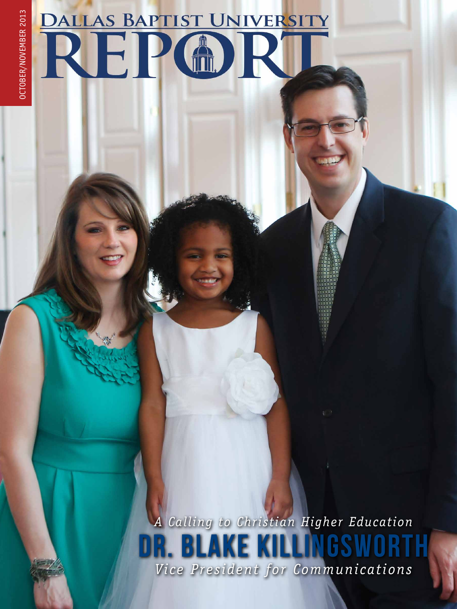## OCTOBER/NOVEMBER 2013 OCTOBER/NOVEMBER 2013

## **DALLAS BAPTIST UNIVERSITY** REP®E

*Vice President for Communications A Calling to Christian Higher Education* DR. BLAKE KILLINGS